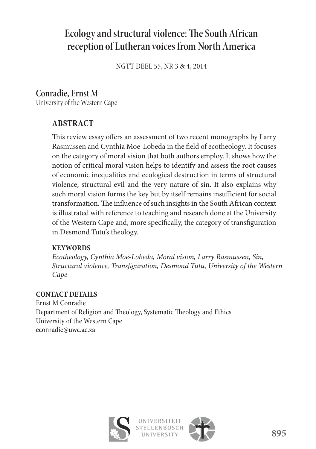# **Ecology and structural violence: The South African reception of Lutheran voices from North America**

NGTT DEEL 55, NR 3 & 4, 2014

# **Conradie, Ernst M**

University of the Western Cape

# **ABSTRACT**

This review essay offers an assessment of two recent monographs by Larry Rasmussen and Cynthia Moe-Lobeda in the field of ecotheology. It focuses on the category of moral vision that both authors employ. It shows how the notion of critical moral vision helps to identify and assess the root causes of economic inequalities and ecological destruction in terms of structural violence, structural evil and the very nature of sin. It also explains why such moral vision forms the key but by itself remains insufficient for social transformation. The influence of such insights in the South African context is illustrated with reference to teaching and research done at the University of the Western Cape and, more specifically, the category of transfiguration in Desmond Tutu's theology.

#### **KEYWORDS**

*Ecotheology, Cynthia Moe-Lobeda, Moral vision, Larry Rasmussen, Sin, Structural violence, Transfiguration, Desmond Tutu, University of the Western Cape*

#### **CONTACT DETAILS**

Ernst M Conradie Department of Religion and Theology, Systematic Theology and Ethics University of the Western Cape econradie@uwc.ac.za



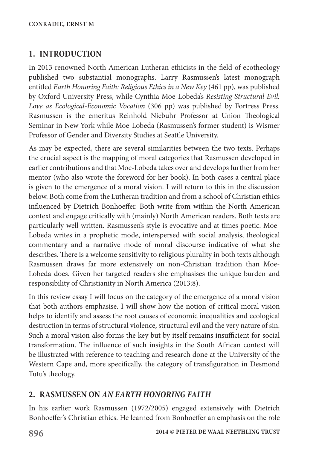## **1. INTRODUCTION**

In 2013 renowned North American Lutheran ethicists in the field of ecotheology published two substantial monographs. Larry Rasmussen's latest monograph entitled *Earth Honoring Faith: Religious Ethics in a New Key* (461 pp), was published by Oxford University Press, while Cynthia Moe-Lobeda's *Resisting Structural Evil: Love as Ecological-Economic Vocation* (306 pp) was published by Fortress Press. Rasmussen is the emeritus Reinhold Niebuhr Professor at Union Theological Seminar in New York while Moe-Lobeda (Rasmussen's former student) is Wismer Professor of Gender and Diversity Studies at Seattle University.

As may be expected, there are several similarities between the two texts. Perhaps the crucial aspect is the mapping of moral categories that Rasmussen developed in earlier contributions and that Moe-Lobeda takes over and develops further from her mentor (who also wrote the foreword for her book). In both cases a central place is given to the emergence of a moral vision. I will return to this in the discussion below. Both come from the Lutheran tradition and from a school of Christian ethics influenced by Dietrich Bonhoeffer. Both write from within the North American context and engage critically with (mainly) North American readers. Both texts are particularly well written. Rasmussen's style is evocative and at times poetic. Moe-Lobeda writes in a prophetic mode, interspersed with social analysis, theological commentary and a narrative mode of moral discourse indicative of what she describes. There is a welcome sensitivity to religious plurality in both texts although Rasmussen draws far more extensively on non-Christian tradition than Moe-Lobeda does. Given her targeted readers she emphasises the unique burden and responsibility of Christianity in North America (2013:8).

In this review essay I will focus on the category of the emergence of a moral vision that both authors emphasise. I will show how the notion of critical moral vision helps to identify and assess the root causes of economic inequalities and ecological destruction in terms of structural violence, structural evil and the very nature of sin. Such a moral vision also forms the key but by itself remains insufficient for social transformation. The influence of such insights in the South African context will be illustrated with reference to teaching and research done at the University of the Western Cape and, more specifically, the category of transfiguration in Desmond Tutu's theology.

## **2. RASMUSSEN ON** *AN EARTH HONORING FAITH*

In his earlier work Rasmussen (1972/2005) engaged extensively with Dietrich Bonhoeffer's Christian ethics. He learned from Bonhoeffer an emphasis on the role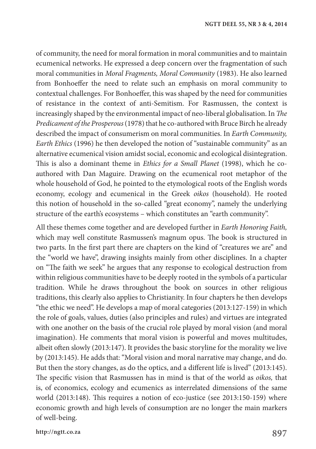of community, the need for moral formation in moral communities and to maintain ecumenical networks. He expressed a deep concern over the fragmentation of such moral communities in *Moral Fragments, Moral Community* (1983). He also learned from Bonhoeffer the need to relate such an emphasis on moral community to contextual challenges. For Bonhoeffer, this was shaped by the need for communities of resistance in the context of anti-Semitism. For Rasmussen, the context is increasingly shaped by the environmental impact of neo-liberal globalisation. In *The Predicament ofthe Prosperous* (1978) that he co-authored with Bruce Birch he already described the impact of consumerism on moral communities. In *Earth Community, Earth Ethics* (1996) he then developed the notion of "sustainable community" as an alternative ecumenical vision amidst social, economic and ecological disintegration. This is also a dominant theme in *Ethics for a Small Planet* (1998), which he coauthored with Dan Maguire. Drawing on the ecumenical root metaphor of the whole household of God, he pointed to the etymological roots of the English words economy, ecology and ecumenical in the Greek *oikos* (household). He rooted this notion of household in the so-called "great economy", namely the underlying structure of the earth's ecosystems – which constitutes an "earth community".

All these themes come together and are developed further in *Earth Honoring Faith,* which may well constitute Rasmussen's magnum opus. The book is structured in two parts. In the first part there are chapters on the kind of "creatures we are" and the "world we have", drawing insights mainly from other disciplines. In a chapter on "The faith we seek" he argues that any response to ecological destruction from within religious communities have to be deeply rooted in the symbols of a particular tradition. While he draws throughout the book on sources in other religious traditions, this clearly also applies to Christianity. In four chapters he then develops "the ethic we need". He develops a map of moral categories (2013:127-159) in which the role of goals, values, duties (also principles and rules) and virtues are integrated with one another on the basis of the crucial role played by moral vision (and moral imagination). He comments that moral vision is powerful and moves multitudes, albeit often slowly (2013:147). It provides the basic storyline for the morality we live by (2013:145). He adds that: "Moral vision and moral narrative may change, and do. But then the story changes, as do the optics, and a different life is lived" (2013:145). The specific vision that Rasmussen has in mind is that of the world as *oikos,* that is, of economics, ecology and ecumenics as interrelated dimensions of the same world (2013:148). This requires a notion of eco-justice (see 2013:150-159) where economic growth and high levels of consumption are no longer the main markers of well-being.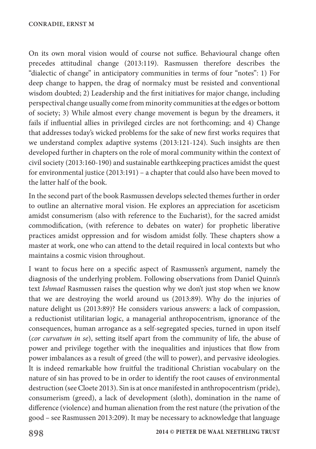On its own moral vision would of course not suffice. Behavioural change often precedes attitudinal change (2013:119). Rasmussen therefore describes the "dialectic of change" in anticipatory communities in terms of four "notes": 1) For deep change to happen, the drag of normalcy must be resisted and conventional wisdom doubted; 2) Leadership and the first initiatives for major change, including perspectival change usually come from minority communities at the edges or bottom of society; 3) While almost every change movement is begun by the dreamers, it fails if influential allies in privileged circles are not forthcoming; and 4) Change that addresses today's wicked problems for the sake of new first works requires that we understand complex adaptive systems (2013:121-124). Such insights are then developed further in chapters on the role of moral community within the context of civil society (2013:160-190) and sustainable earthkeeping practices amidst the quest for environmental justice (2013:191) – a chapter that could also have been moved to the latter half of the book.

In the second part of the book Rasmussen develops selected themes further in order to outline an alternative moral vision. He explores an appreciation for asceticism amidst consumerism (also with reference to the Eucharist), for the sacred amidst commodification, (with reference to debates on water) for prophetic liberative practices amidst oppression and for wisdom amidst folly. These chapters show a master at work, one who can attend to the detail required in local contexts but who maintains a cosmic vision throughout.

I want to focus here on a specific aspect of Rasmussen's argument, namely the diagnosis of the underlying problem. Following observations from Daniel Quinn's text *Ishmael* Rasmussen raises the question why we don't just stop when we know that we are destroying the world around us (2013:89). Why do the injuries of nature delight us (2013:89)? He considers various answers: a lack of compassion, a reductionist utilitarian logic, a managerial anthropocentrism, ignorance of the consequences, human arrogance as a self-segregated species, turned in upon itself (*cor curvatum in se*), setting itself apart from the community of life, the abuse of power and privilege together with the inequalities and injustices that flow from power imbalances as a result of greed (the will to power), and pervasive ideologies. It is indeed remarkable how fruitful the traditional Christian vocabulary on the nature of sin has proved to be in order to identify the root causes of environmental destruction (see Cloete 2013). Sin is at once manifested in anthropocentrism (pride), consumerism (greed), a lack of development (sloth), domination in the name of difference (violence) and human alienation from the rest nature (the privation of the good – see Rasmussen 2013:209). It may be necessary to acknowledge that language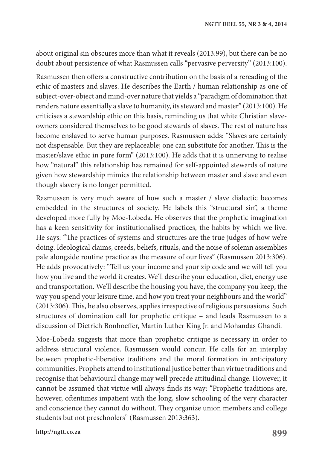about original sin obscures more than what it reveals (2013:99), but there can be no doubt about persistence of what Rasmussen calls "pervasive perversity" (2013:100).

Rasmussen then offers a constructive contribution on the basis of a rereading of the ethic of masters and slaves. He describes the Earth / human relationship as one of subject-over-object and mind-over nature that yields a "paradigm of domination that renders nature essentially a slave to humanity, its steward and master" (2013:100). He criticises a stewardship ethic on this basis, reminding us that white Christian slaveowners considered themselves to be good stewards of slaves. The rest of nature has become enslaved to serve human purposes. Rasmussen adds: "Slaves are certainly not dispensable. But they are replaceable; one can substitute for another. This is the master/slave ethic in pure form" (2013:100). He adds that it is unnerving to realise how "natural" this relationship has remained for self-appointed stewards of nature given how stewardship mimics the relationship between master and slave and even though slavery is no longer permitted.

Rasmussen is very much aware of how such a master / slave dialectic becomes embedded in the structures of society. He labels this "structural sin", a theme developed more fully by Moe-Lobeda. He observes that the prophetic imagination has a keen sensitivity for institutionalised practices, the habits by which we live. He says: "The practices of systems and structures are the true judges of how we're doing. Ideological claims, creeds, beliefs, rituals, and the noise of solemn assemblies pale alongside routine practice as the measure of our lives" (Rasmussen 2013:306). He adds provocatively: "Tell us your income and your zip code and we will tell you how you live and the world it creates. We'll describe your education, diet, energy use and transportation. We'll describe the housing you have, the company you keep, the way you spend your leisure time, and how you treat your neighbours and the world" (2013:306). This, he also observes, applies irrespective of religious persuasions. Such structures of domination call for prophetic critique – and leads Rasmussen to a discussion of Dietrich Bonhoeffer, Martin Luther King Jr. and Mohandas Ghandi.

Moe-Lobeda suggests that more than prophetic critique is necessary in order to address structural violence. Rasmussen would concur. He calls for an interplay between prophetic-liberative traditions and the moral formation in anticipatory communities. Prophets attend to institutional justice better than virtue traditions and recognise that behavioural change may well precede attitudinal change. However, it cannot be assumed that virtue will always finds its way: "Prophetic traditions are, however, oftentimes impatient with the long, slow schooling of the very character and conscience they cannot do without. They organize union members and college students but not preschoolers" (Rasmussen 2013:363).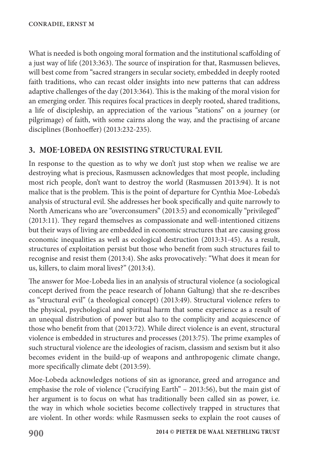What is needed is both ongoing moral formation and the institutional scaffolding of a just way of life (2013:363). The source of inspiration for that, Rasmussen believes, will best come from "sacred strangers in secular society, embedded in deeply rooted faith traditions, who can recast older insights into new patterns that can address adaptive challenges of the day (2013:364). This is the making of the moral vision for an emerging order. This requires focal practices in deeply rooted, shared traditions, a life of discipleship, an appreciation of the various "stations" on a journey (or pilgrimage) of faith, with some cairns along the way, and the practising of arcane disciplines (Bonhoeffer) (2013:232-235).

### **3. MOE-LOBEDA ON RESISTING STRUCTURAL EVIL**

In response to the question as to why we don't just stop when we realise we are destroying what is precious, Rasmussen acknowledges that most people, including most rich people, don't want to destroy the world (Rasmussen 2013:94). It is not malice that is the problem. This is the point of departure for Cynthia Moe-Lobeda's analysis of structural evil. She addresses her book specifically and quite narrowly to North Americans who are "overconsumers" (2013:5) and economically "privileged" (2013:11). They regard themselves as compassionate and well-intentioned citizens but their ways of living are embedded in economic structures that are causing gross economic inequalities as well as ecological destruction (2013:31-45). As a result, structures of exploitation persist but those who benefit from such structures fail to recognise and resist them (2013:4). She asks provocatively: "What does it mean for us, killers, to claim moral lives?" (2013:4).

The answer for Moe-Lobeda lies in an analysis of structural violence (a sociological concept derived from the peace research of Johann Galtung) that she re-describes as "structural evil" (a theological concept) (2013:49). Structural violence refers to the physical, psychological and spiritual harm that some experience as a result of an unequal distribution of power but also to the complicity and acquiescence of those who benefit from that (2013:72). While direct violence is an event, structural violence is embedded in structures and processes (2013:75). The prime examples of such structural violence are the ideologies of racism, classism and sexism but it also becomes evident in the build-up of weapons and anthropogenic climate change, more specifically climate debt (2013:59).

Moe-Lobeda acknowledges notions of sin as ignorance, greed and arrogance and emphasise the role of violence ("crucifying Earth" – 2013:56), but the main gist of her argument is to focus on what has traditionally been called sin as power, i.e. the way in which whole societies become collectively trapped in structures that are violent. In other words: while Rasmussen seeks to explain the root causes of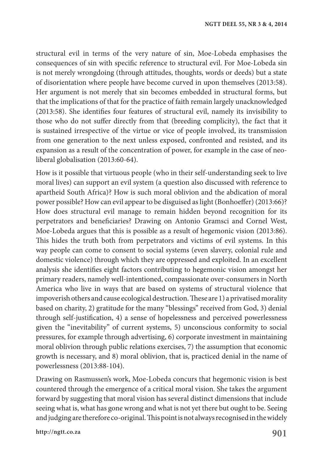structural evil in terms of the very nature of sin, Moe-Lobeda emphasises the consequences of sin with specific reference to structural evil. For Moe-Lobeda sin is not merely wrongdoing (through attitudes, thoughts, words or deeds) but a state of disorientation where people have become curved in upon themselves (2013:58). Her argument is not merely that sin becomes embedded in structural forms, but that the implications of that for the practice of faith remain largely unacknowledged (2013:58). She identifies four features of structural evil, namely its invisibility to those who do not suffer directly from that (breeding complicity), the fact that it is sustained irrespective of the virtue or vice of people involved, its transmission from one generation to the next unless exposed, confronted and resisted, and its expansion as a result of the concentration of power, for example in the case of neoliberal globalisation (2013:60-64).

How is it possible that virtuous people (who in their self-understanding seek to live moral lives) can support an evil system (a question also discussed with reference to apartheid South Africa)? How is such moral oblivion and the abdication of moral power possible? How can evil appear to be disguised as light (Bonhoeffer) (2013:66)? How does structural evil manage to remain hidden beyond recognition for its perpetrators and beneficiaries? Drawing on Antonio Gramsci and Cornel West, Moe-Lobeda argues that this is possible as a result of hegemonic vision (2013:86). This hides the truth both from perpetrators and victims of evil systems. In this way people can come to consent to social systems (even slavery, colonial rule and domestic violence) through which they are oppressed and exploited. In an excellent analysis she identifies eight factors contributing to hegemonic vision amongst her primary readers, namely well-intentioned, compassionate over-consumers in North America who live in ways that are based on systems of structural violence that impoverish others and cause ecological destruction. These are 1) a privatised morality based on charity, 2) gratitude for the many "blessings" received from God, 3) denial through self-justification, 4) a sense of hopelessness and perceived powerlessness given the "inevitability" of current systems, 5) unconscious conformity to social pressures, for example through advertising, 6) corporate investment in maintaining moral oblivion through public relations exercises, 7) the assumption that economic growth is necessary, and 8) moral oblivion, that is, practiced denial in the name of powerlessness (2013:88-104).

Drawing on Rasmussen's work, Moe-Lobeda concurs that hegemonic vision is best countered through the emergence of a critical moral vision. She takes the argument forward by suggesting that moral vision has several distinct dimensions that include seeing what is, what has gone wrong and what is not yet there but ought to be. Seeing and judging are therefore co-original. This point is not always recognised in the widely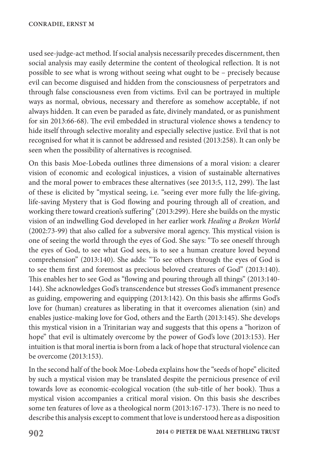used see-judge-act method. If social analysis necessarily precedes discernment, then social analysis may easily determine the content of theological reflection. It is not possible to see what is wrong without seeing what ought to be – precisely because evil can become disguised and hidden from the consciousness of perpetrators and through false consciousness even from victims. Evil can be portrayed in multiple ways as normal, obvious, necessary and therefore as somehow acceptable, if not always hidden. It can even be paraded as fate, divinely mandated, or as punishment for sin 2013:66-68). The evil embedded in structural violence shows a tendency to hide itself through selective morality and especially selective justice. Evil that is not recognised for what it is cannot be addressed and resisted (2013:258). It can only be seen when the possibility of alternatives is recognised.

On this basis Moe-Lobeda outlines three dimensions of a moral vision: a clearer vision of economic and ecological injustices, a vision of sustainable alternatives and the moral power to embraces these alternatives (see 2013:5, 112, 299). The last of these is elicited by "mystical seeing, i.e. "seeing ever more fully the life-giving, life-saving Mystery that is God flowing and pouring through all of creation, and working there toward creation's suffering" (2013:299). Here she builds on the mystic vision of an indwelling God developed in her earlier work *Healing a Broken World* (2002:73-99) that also called for a subversive moral agency. This mystical vision is one of seeing the world through the eyes of God. She says: "To see oneself through the eyes of God, to see what God sees, is to see a human creature loved beyond comprehension" (2013:140). She adds: "To see others through the eyes of God is to see them first and foremost as precious beloved creatures of God" (2013:140). This enables her to see God as "flowing and pouring through all things" (2013:140- 144). She acknowledges God's transcendence but stresses God's immanent presence as guiding, empowering and equipping (2013:142). On this basis she affirms God's love for (human) creatures as liberating in that it overcomes alienation (sin) and enables justice-making love for God, others and the Earth (2013:145). She develops this mystical vision in a Trinitarian way and suggests that this opens a "horizon of hope" that evil is ultimately overcome by the power of God's love (2013:153). Her intuition is that moral inertia is born from a lack of hope that structural violence can be overcome (2013:153).

In the second half of the book Moe-Lobeda explains how the "seeds of hope" elicited by such a mystical vision may be translated despite the pernicious presence of evil towards love as economic-ecological vocation (the sub-title of her book). Thus a mystical vision accompanies a critical moral vision. On this basis she describes some ten features of love as a theological norm (2013:167-173). There is no need to describe this analysis except to comment that love is understood here as a disposition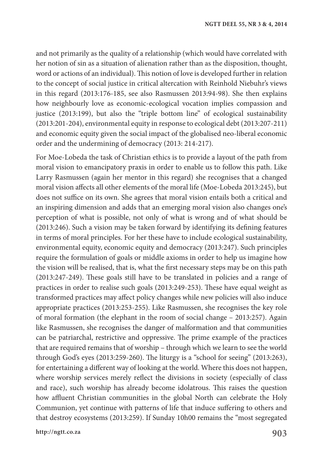and not primarily as the quality of a relationship (which would have correlated with her notion of sin as a situation of alienation rather than as the disposition, thought, word or actions of an individual). This notion of love is developed further in relation to the concept of social justice in critical altercation with Reinhold Niebuhr's views in this regard (2013:176-185, see also Rasmussen 2013:94-98). She then explains how neighbourly love as economic-ecological vocation implies compassion and justice (2013:199), but also the "triple bottom line" of ecological sustainability (2013:201-204), environmental equity in response to ecological debt (2013:207-211) and economic equity given the social impact of the globalised neo-liberal economic order and the undermining of democracy (2013: 214-217).

For Moe-Lobeda the task of Christian ethics is to provide a layout of the path from moral vision to emancipatory praxis in order to enable us to follow this path. Like Larry Rasmussen (again her mentor in this regard) she recognises that a changed moral vision affects all other elements of the moral life (Moe-Lobeda 2013:245), but does not suffice on its own. She agrees that moral vision entails both a critical and an inspiring dimension and adds that an emerging moral vision also changes one's perception of what is possible, not only of what is wrong and of what should be (2013:246). Such a vision may be taken forward by identifying its defining features in terms of moral principles. For her these have to include ecological sustainability, environmental equity, economic equity and democracy (2013:247). Such principles require the formulation of goals or middle axioms in order to help us imagine how the vision will be realised, that is, what the first necessary steps may be on this path (2013:247-249). These goals still have to be translated in policies and a range of practices in order to realise such goals (2013:249-253). These have equal weight as transformed practices may affect policy changes while new policies will also induce appropriate practices (2013:253-255). Like Rasmussen, she recognises the key role of moral formation (the elephant in the room of social change – 2013:257). Again like Rasmussen, she recognises the danger of malformation and that communities can be patriarchal, restrictive and oppressive. The prime example of the practices that are required remains that of worship – through which we learn to see the world through God's eyes (2013:259-260). The liturgy is a "school for seeing" (2013:263), for entertaining a different way of looking at the world. Where this does not happen, where worship services merely reflect the divisions in society (especially of class and race), such worship has already become idolatrous. This raises the question how affluent Christian communities in the global North can celebrate the Holy Communion, yet continue with patterns of life that induce suffering to others and that destroy ecosystems (2013:259). If Sunday 10h00 remains the "most segregated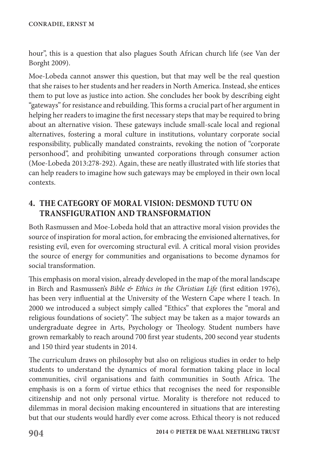hour", this is a question that also plagues South African church life (see Van der Borght 2009).

Moe-Lobeda cannot answer this question, but that may well be the real question that she raises to her students and her readers in North America. Instead, she entices them to put love as justice into action. She concludes her book by describing eight "gateways" for resistance and rebuilding. This forms a crucial part of her argument in helping her readers to imagine the first necessary steps that may be required to bring about an alternative vision. These gateways include small-scale local and regional alternatives, fostering a moral culture in institutions, voluntary corporate social responsibility, publically mandated constraints, revoking the notion of "corporate personhood", and prohibiting unwanted corporations through consumer action (Moe-Lobeda 2013:278-292). Again, these are neatly illustrated with life stories that can help readers to imagine how such gateways may be employed in their own local contexts.

## **4. THE CATEGORY OF MORAL VISION: DESMOND TUTU ON TRANSFIGURATION AND TRANSFORMATION**

Both Rasmussen and Moe-Lobeda hold that an attractive moral vision provides the source of inspiration for moral action, for embracing the envisioned alternatives, for resisting evil, even for overcoming structural evil. A critical moral vision provides the source of energy for communities and organisations to become dynamos for social transformation.

This emphasis on moral vision, already developed in the map of the moral landscape in Birch and Rasmussen's *Bible & Ethics in the Christian Life* (first edition 1976), has been very influential at the University of the Western Cape where I teach. In 2000 we introduced a subject simply called "Ethics" that explores the "moral and religious foundations of society". The subject may be taken as a major towards an undergraduate degree in Arts, Psychology or Theology. Student numbers have grown remarkably to reach around 700 first year students, 200 second year students and 150 third year students in 2014.

The curriculum draws on philosophy but also on religious studies in order to help students to understand the dynamics of moral formation taking place in local communities, civil organisations and faith communities in South Africa. The emphasis is on a form of virtue ethics that recognises the need for responsible citizenship and not only personal virtue. Morality is therefore not reduced to dilemmas in moral decision making encountered in situations that are interesting but that our students would hardly ever come across. Ethical theory is not reduced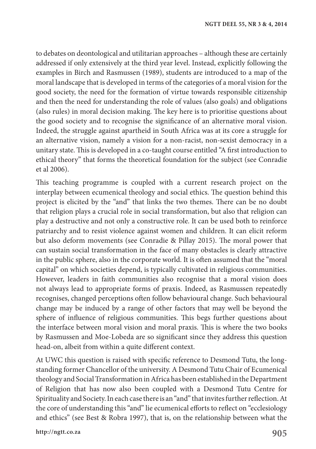to debates on deontological and utilitarian approaches – although these are certainly addressed if only extensively at the third year level. Instead, explicitly following the examples in Birch and Rasmussen (1989), students are introduced to a map of the moral landscape that is developed in terms of the categories of a moral vision for the good society, the need for the formation of virtue towards responsible citizenship and then the need for understanding the role of values (also goals) and obligations (also rules) in moral decision making. The key here is to prioritise questions about the good society and to recognise the significance of an alternative moral vision. Indeed, the struggle against apartheid in South Africa was at its core a struggle for an alternative vision, namely a vision for a non-racist, non-sexist democracy in a unitary state. This is developed in a co-taught course entitled "A first introduction to ethical theory" that forms the theoretical foundation for the subject (see Conradie et al 2006).

This teaching programme is coupled with a current research project on the interplay between ecumenical theology and social ethics. The question behind this project is elicited by the "and" that links the two themes. There can be no doubt that religion plays a crucial role in social transformation, but also that religion can play a destructive and not only a constructive role. It can be used both to reinforce patriarchy and to resist violence against women and children. It can elicit reform but also deform movements (see Conradie & Pillay 2015). The moral power that can sustain social transformation in the face of many obstacles is clearly attractive in the public sphere, also in the corporate world. It is often assumed that the "moral capital" on which societies depend, is typically cultivated in religious communities. However, leaders in faith communities also recognise that a moral vision does not always lead to appropriate forms of praxis. Indeed, as Rasmussen repeatedly recognises, changed perceptions often follow behavioural change. Such behavioural change may be induced by a range of other factors that may well be beyond the sphere of influence of religious communities. This begs further questions about the interface between moral vision and moral praxis. This is where the two books by Rasmussen and Moe-Lobeda are so significant since they address this question head-on, albeit from within a quite different context.

At UWC this question is raised with specific reference to Desmond Tutu, the longstanding former Chancellor of the university. A Desmond Tutu Chair of Ecumenical theology and Social Transformation in Africa has been established in the Department of Religion that has now also been coupled with a Desmond Tutu Centre for Spirituality and Society. In each case there is an "and" that invites further reflection. At the core of understanding this "and" lie ecumenical efforts to reflect on "ecclesiology and ethics" (see Best & Robra 1997), that is, on the relationship between what the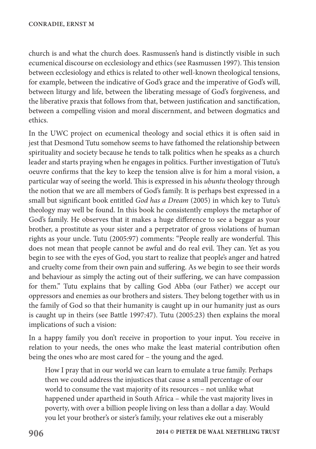church is and what the church does. Rasmussen's hand is distinctly visible in such ecumenical discourse on ecclesiology and ethics (see Rasmussen 1997). This tension between ecclesiology and ethics is related to other well-known theological tensions, for example, between the indicative of God's grace and the imperative of God's will, between liturgy and life, between the liberating message of God's forgiveness, and the liberative praxis that follows from that, between justification and sanctification, between a compelling vision and moral discernment, and between dogmatics and ethics.

In the UWC project on ecumenical theology and social ethics it is often said in jest that Desmond Tutu somehow seems to have fathomed the relationship between spirituality and society because he tends to talk politics when he speaks as a church leader and starts praying when he engages in politics. Further investigation of Tutu's oeuvre confirms that the key to keep the tension alive is for him a moral vision, a particular way of seeing the world. This is expressed in his *ubuntu* theology through the notion that we are all members of God's family. It is perhaps best expressed in a small but significant book entitled *God has a Dream* (2005) in which key to Tutu's theology may well be found. In this book he consistently employs the metaphor of God's family. He observes that it makes a huge difference to see a beggar as your brother, a prostitute as your sister and a perpetrator of gross violations of human rights as your uncle. Tutu (2005:97) comments: "People really are wonderful. This does not mean that people cannot be awful and do real evil. They can. Yet as you begin to see with the eyes of God, you start to realize that people's anger and hatred and cruelty come from their own pain and suffering. As we begin to see their words and behaviour as simply the acting out of their suffering, we can have compassion for them." Tutu explains that by calling God Abba (our Father) we accept our oppressors and enemies as our brothers and sisters. They belong together with us in the family of God so that their humanity is caught up in our humanity just as ours is caught up in theirs (see Battle 1997:47). Tutu (2005:23) then explains the moral implications of such a vision:

In a happy family you don't receive in proportion to your input. You receive in relation to your needs, the ones who make the least material contribution often being the ones who are most cared for – the young and the aged.

How I pray that in our world we can learn to emulate a true family. Perhaps then we could address the injustices that cause a small percentage of our world to consume the vast majority of its resources – not unlike what happened under apartheid in South Africa – while the vast majority lives in poverty, with over a billion people living on less than a dollar a day. Would you let your brother's or sister's family, your relatives eke out a miserably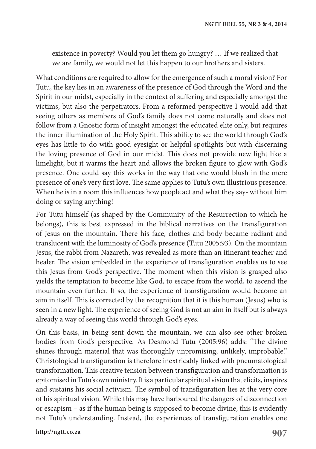existence in poverty? Would you let them go hungry? … If we realized that we are family, we would not let this happen to our brothers and sisters.

What conditions are required to allow for the emergence of such a moral vision? For Tutu, the key lies in an awareness of the presence of God through the Word and the Spirit in our midst, especially in the context of suffering and especially amongst the victims, but also the perpetrators. From a reformed perspective I would add that seeing others as members of God's family does not come naturally and does not follow from a Gnostic form of insight amongst the educated elite only, but requires the inner illumination of the Holy Spirit. This ability to see the world through God's eyes has little to do with good eyesight or helpful spotlights but with discerning the loving presence of God in our midst. This does not provide new light like a limelight, but it warms the heart and allows the broken figure to glow with God's presence. One could say this works in the way that one would blush in the mere presence of one's very first love. The same applies to Tutu's own illustrious presence: When he is in a room this influences how people act and what they say- without him doing or saying anything!

For Tutu himself (as shaped by the Community of the Resurrection to which he belongs), this is best expressed in the biblical narratives on the transfiguration of Jesus on the mountain. There his face, clothes and body became radiant and translucent with the luminosity of God's presence (Tutu 2005:93). On the mountain Jesus, the rabbi from Nazareth, was revealed as more than an itinerant teacher and healer. The vision embedded in the experience of transfiguration enables us to see this Jesus from God's perspective. The moment when this vision is grasped also yields the temptation to become like God, to escape from the world, to ascend the mountain even further. If so, the experience of transfiguration would become an aim in itself. This is corrected by the recognition that it is this human (Jesus) who is seen in a new light. The experience of seeing God is not an aim in itself but is always already a way of seeing this world through God's eyes.

On this basis, in being sent down the mountain, we can also see other broken bodies from God's perspective. As Desmond Tutu (2005:96) adds: "The divine shines through material that was thoroughly unpromising, unlikely, improbable." Christological transfiguration is therefore inextricably linked with pneumatological transformation. This creative tension between transfiguration and transformation is epitomised in Tutu's own ministry. It is a particular spiritual vision that elicits, inspires and sustains his social activism. The symbol of transfiguration lies at the very core of his spiritual vision. While this may have harboured the dangers of disconnection or escapism – as if the human being is supposed to become divine, this is evidently not Tutu's understanding. Instead, the experiences of transfiguration enables one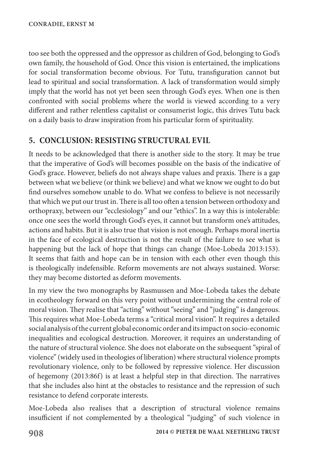too see both the oppressed and the oppressor as children of God, belonging to God's own family, the household of God. Once this vision is entertained, the implications for social transformation become obvious. For Tutu, transfiguration cannot but lead to spiritual and social transformation. A lack of transformation would simply imply that the world has not yet been seen through God's eyes. When one is then confronted with social problems where the world is viewed according to a very different and rather relentless capitalist or consumerist logic, this drives Tutu back on a daily basis to draw inspiration from his particular form of spirituality.

### **5. CONCLUSION: RESISTING STRUCTURAL EVIL**

It needs to be acknowledged that there is another side to the story. It may be true that the imperative of God's will becomes possible on the basis of the indicative of God's grace. However, beliefs do not always shape values and praxis. There is a gap between what we believe (or think we believe) and what we know we ought to do but find ourselves somehow unable to do. What we confess to believe is not necessarily that which we put our trust in. There is all too often a tension between orthodoxy and orthopraxy, between our "ecclesiology" and our "ethics". In a way this is intolerable: once one sees the world through God's eyes, it cannot but transform one's attitudes, actions and habits. But it is also true that vision is not enough. Perhaps moral inertia in the face of ecological destruction is not the result of the failure to see what is happening but the lack of hope that things can change (Moe-Lobeda 2013:153). It seems that faith and hope can be in tension with each other even though this is theologically indefensible. Reform movements are not always sustained. Worse: they may become distorted as deform movements.

In my view the two monographs by Rasmussen and Moe-Lobeda takes the debate in ecotheology forward on this very point without undermining the central role of moral vision. They realise that "acting" without "seeing" and "judging" is dangerous. This requires what Moe-Lobeda terms a "critical moral vision". It requires a detailed social analysis of the current global economic order and its impact on socio-economic inequalities and ecological destruction. Moreover, it requires an understanding of the nature of structural violence. She does not elaborate on the subsequent "spiral of violence" (widely used in theologies of liberation) where structural violence prompts revolutionary violence, only to be followed by repressive violence. Her discussion of hegemony (2013:86f) is at least a helpful step in that direction. The narratives that she includes also hint at the obstacles to resistance and the repression of such resistance to defend corporate interests.

Moe-Lobeda also realises that a description of structural violence remains insufficient if not complemented by a theological "judging" of such violence in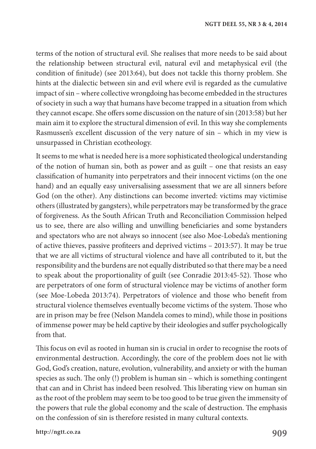terms of the notion of structural evil. She realises that more needs to be said about the relationship between structural evil, natural evil and metaphysical evil (the condition of finitude) (see 2013:64), but does not tackle this thorny problem. She hints at the dialectic between sin and evil where evil is regarded as the cumulative impact of sin – where collective wrongdoing has become embedded in the structures of society in such a way that humans have become trapped in a situation from which they cannot escape. She offers some discussion on the nature of sin (2013:58) but her main aim it to explore the structural dimension of evil. In this way she complements Rasmussen's excellent discussion of the very nature of sin – which in my view is unsurpassed in Christian ecotheology.

It seems to me what is needed here is a more sophisticated theological understanding of the notion of human sin, both as power and as guilt – one that resists an easy classification of humanity into perpetrators and their innocent victims (on the one hand) and an equally easy universalising assessment that we are all sinners before God (on the other). Any distinctions can become inverted: victims may victimise others (illustrated by gangsters), while perpetrators may be transformed by the grace of forgiveness. As the South African Truth and Reconciliation Commission helped us to see, there are also willing and unwilling beneficiaries and some bystanders and spectators who are not always so innocent (see also Moe-Lobeda's mentioning of active thieves, passive profiteers and deprived victims – 2013:57). It may be true that we are all victims of structural violence and have all contributed to it, but the responsibility and the burdens are not equally distributed so that there may be a need to speak about the proportionality of guilt (see Conradie 2013:45-52). Those who are perpetrators of one form of structural violence may be victims of another form (see Moe-Lobeda 2013:74). Perpetrators of violence and those who benefit from structural violence themselves eventually become victims of the system. Those who are in prison may be free (Nelson Mandela comes to mind), while those in positions of immense power may be held captive by their ideologies and suffer psychologically from that.

This focus on evil as rooted in human sin is crucial in order to recognise the roots of environmental destruction. Accordingly, the core of the problem does not lie with God, God's creation, nature, evolution, vulnerability, and anxiety or with the human species as such. The only (!) problem is human sin – which is something contingent that can and in Christ has indeed been resolved. This liberating view on human sin as the root of the problem may seem to be too good to be true given the immensity of the powers that rule the global economy and the scale of destruction. The emphasis on the confession of sin is therefore resisted in many cultural contexts.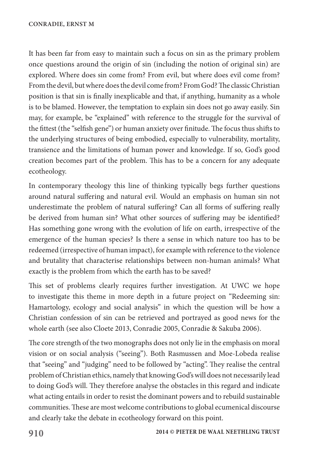It has been far from easy to maintain such a focus on sin as the primary problem once questions around the origin of sin (including the notion of original sin) are explored. Where does sin come from? From evil, but where does evil come from? From the devil, but where does the devil come from? From God? The classic Christian position is that sin is finally inexplicable and that, if anything, humanity as a whole is to be blamed. However, the temptation to explain sin does not go away easily. Sin may, for example, be "explained" with reference to the struggle for the survival of the fittest (the "selfish gene") or human anxiety over finitude. The focus thus shifts to the underlying structures of being embodied, especially to vulnerability, mortality, transience and the limitations of human power and knowledge. If so, God's good creation becomes part of the problem. This has to be a concern for any adequate ecotheology.

In contemporary theology this line of thinking typically begs further questions around natural suffering and natural evil. Would an emphasis on human sin not underestimate the problem of natural suffering? Can all forms of suffering really be derived from human sin? What other sources of suffering may be identified? Has something gone wrong with the evolution of life on earth, irrespective of the emergence of the human species? Is there a sense in which nature too has to be redeemed (irrespective of human impact), for example with reference to the violence and brutality that characterise relationships between non-human animals? What exactly is the problem from which the earth has to be saved?

This set of problems clearly requires further investigation. At UWC we hope to investigate this theme in more depth in a future project on "Redeeming sin: Hamartology, ecology and social analysis" in which the question will be how a Christian confession of sin can be retrieved and portrayed as good news for the whole earth (see also Cloete 2013, Conradie 2005, Conradie & Sakuba 2006).

The core strength of the two monographs does not only lie in the emphasis on moral vision or on social analysis ("seeing"). Both Rasmussen and Moe-Lobeda realise that "seeing" and "judging" need to be followed by "acting". They realise the central problem of Christian ethics, namely that knowing God's will does not necessarily lead to doing God's will. They therefore analyse the obstacles in this regard and indicate what acting entails in order to resist the dominant powers and to rebuild sustainable communities. These are most welcome contributions to global ecumenical discourse and clearly take the debate in ecotheology forward on this point.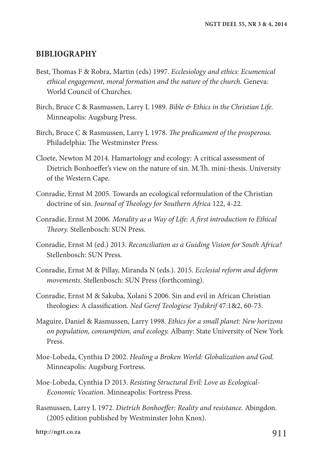#### **BIBLIOGRAPHY**

- Best, Thomas F & Robra, Martin (eds) 1997. *Ecclesiology and ethics: Ecumenical ethical engagement, moral formation and the nature of the church.* Geneva: World Council of Churches.
- Birch, Bruce C & Rasmussen, Larry L 1989. *Bible & Ethics in the Christian Life.* Minneapolis: Augsburg Press.
- Birch, Bruce C & Rasmussen, Larry L 1978. *The predicament of the prosperous.* Philadelphia: The Westminster Press.
- Cloete, Newton M 2014. Hamartology and ecology: A critical assessment of Dietrich Bonhoeffer's view on the nature of sin. M.Th. mini-thesis. University of the Western Cape.
- Conradie, Ernst M 2005. Towards an ecological reformulation of the Christian doctrine of sin. *Journal of Theology for Southern Africa* 122, 4-22.
- Conradie, Ernst M 2006. *Morality as a Way of Life: A first introduction to Ethical Theory.* Stellenbosch: SUN Press.
- Conradie, Ernst M (ed.) 2013. *Reconciliation as a Guiding Vision for South Africa?* Stellenbosch: SUN Press.
- Conradie, Ernst M & Pillay, Miranda N (eds.). 2015. *Ecclesial reform and deform movements.* Stellenbosch: SUN Press (forthcoming).
- Conradie, Ernst M & Sakuba, Xolani S 2006. Sin and evil in African Christian theologies: A classification. *Ned Geref Teologiese Tydskrif* 47:1&2, 60-73.
- Maguire, Daniel & Rasmussen, Larry 1998*. Ethics for a small planet: New horizons on population, consumption, and ecology.* Albany: State University of New York Press.
- Moe-Lobeda, Cynthia D 2002. *Healing a Broken World: Globalization and God.* Minneapolis: Augsburg Fortress.
- Moe-Lobeda, Cynthia D 2013. *Resisting Structural Evil: Love as Ecological-Economic Vocation.* Minneapolis: Fortress Press.
- Rasmussen, Larry L 1972. *Dietrich Bonhoeffer: Reality and resistance.* Abingdon. (2005 edition published by Westminster John Knox).